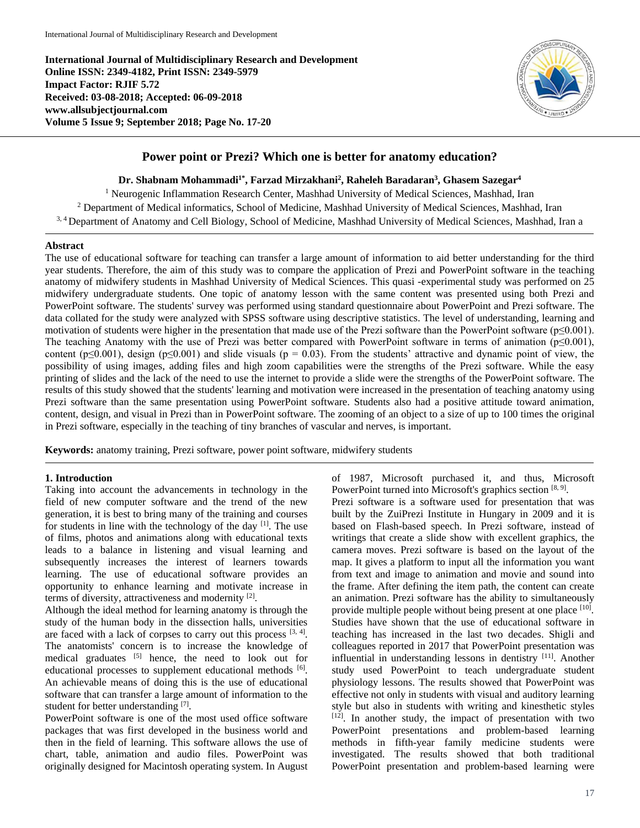**International Journal of Multidisciplinary Research and Development Online ISSN: 2349-4182, Print ISSN: 2349-5979 Impact Factor: RJIF 5.72 Received: 03-08-2018; Accepted: 06-09-2018 www.allsubjectjournal.com Volume 5 Issue 9; September 2018; Page No. 17-20**



# **Power point or Prezi? Which one is better for anatomy education?**

**Dr. Shabnam Mohammadi1\*, Farzad Mirzakhani<sup>2</sup> , Raheleh Baradaran<sup>3</sup> , Ghasem Sazegar<sup>4</sup>**

<sup>1</sup> Neurogenic Inflammation Research Center, Mashhad University of Medical Sciences, Mashhad, Iran <sup>2</sup> Department of Medical informatics, School of Medicine, Mashhad University of Medical Sciences, Mashhad, Iran 3, 4 Department of Anatomy and Cell Biology, School of Medicine, Mashhad University of Medical Sciences, Mashhad, Iran a

#### **Abstract**

The use of educational software for teaching can transfer a large amount of information to aid better understanding for the third year students. Therefore, the aim of this study was to compare the application of Prezi and PowerPoint software in the teaching anatomy of midwifery students in Mashhad University of Medical Sciences. This quasi -experimental study was performed on 25 midwifery undergraduate students. One topic of anatomy lesson with the same content was presented using both Prezi and PowerPoint software. The students' survey was performed using standard questionnaire about PowerPoint and Prezi software. The data collated for the study were analyzed with SPSS software using descriptive statistics. The level of understanding, learning and motivation of students were higher in the presentation that made use of the Prezi software than the PowerPoint software (p≤0.001). The teaching Anatomy with the use of Prezi was better compared with PowerPoint software in terms of animation (p≤0.001), content (p≤0.001), design (p≤0.001) and slide visuals (p = 0.03). From the students' attractive and dynamic point of view, the possibility of using images, adding files and high zoom capabilities were the strengths of the Prezi software. While the easy printing of slides and the lack of the need to use the internet to provide a slide were the strengths of the PowerPoint software. The results of this study showed that the students' learning and motivation were increased in the presentation of teaching anatomy using Prezi software than the same presentation using PowerPoint software. Students also had a positive attitude toward animation, content, design, and visual in Prezi than in PowerPoint software. The zooming of an object to a size of up to 100 times the original in Prezi software, especially in the teaching of tiny branches of vascular and nerves, is important.

**Keywords:** anatomy training, Prezi software, power point software, midwifery students

#### **1. Introduction**

Taking into account the advancements in technology in the field of new computer software and the trend of the new generation, it is best to bring many of the training and courses for students in line with the technology of the day <sup>[1]</sup>. The use of films, photos and animations along with educational texts leads to a balance in listening and visual learning and subsequently increases the interest of learners towards learning. The use of educational software provides an opportunity to enhance learning and motivate increase in terms of diversity, attractiveness and modernity [2].

Although the ideal method for learning anatomy is through the study of the human body in the dissection halls, universities are faced with a lack of corpses to carry out this process  $[3, 4]$ . The anatomists' concern is to increase the knowledge of medical graduates  $[5]$  hence, the need to look out for educational processes to supplement educational methods [6]. An achievable means of doing this is the use of educational software that can transfer a large amount of information to the student for better understanding [7].

PowerPoint software is one of the most used office software packages that was first developed in the business world and then in the field of learning. This software allows the use of chart, table, animation and audio files. PowerPoint was originally designed for Macintosh operating system. In August of 1987, Microsoft purchased it, and thus, Microsoft PowerPoint turned into Microsoft's graphics section [8, 9].

Prezi software is a software used for presentation that was built by the ZuiPrezi Institute in Hungary in 2009 and it is based on Flash-based speech. In Prezi software, instead of writings that create a slide show with excellent graphics, the camera moves. Prezi software is based on the layout of the map. It gives a platform to input all the information you want from text and image to animation and movie and sound into the frame. After defining the item path, the content can create an animation. Prezi software has the ability to simultaneously provide multiple people without being present at one place [10]. Studies have shown that the use of educational software in teaching has increased in the last two decades. Shigli and colleagues reported in 2017 that PowerPoint presentation was influential in understanding lessons in dentistry [11]. Another study used PowerPoint to teach undergraduate student physiology lessons. The results showed that PowerPoint was effective not only in students with visual and auditory learning style but also in students with writing and kinesthetic styles [12] . In another study, the impact of presentation with two PowerPoint presentations and problem-based learning methods in fifth-year family medicine students were investigated. The results showed that both traditional PowerPoint presentation and problem-based learning were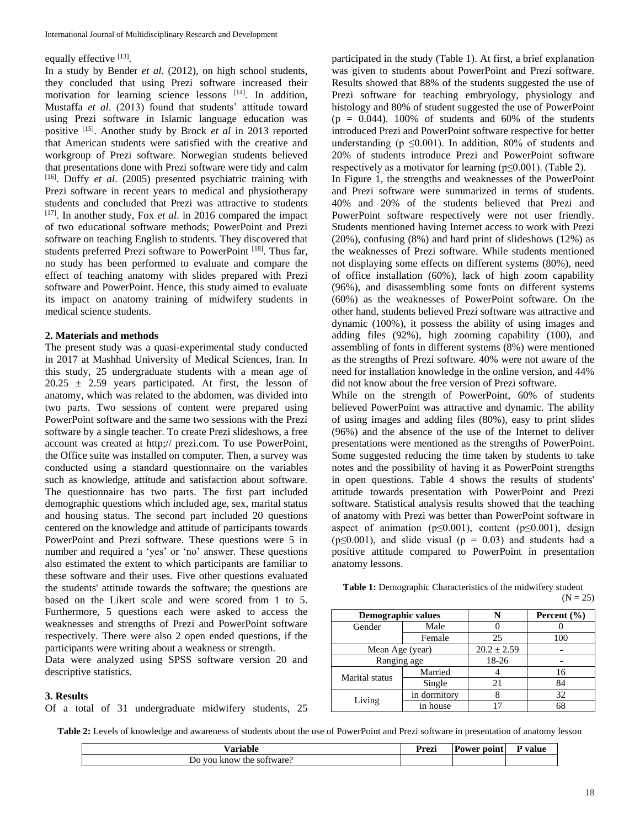#### equally effective [13].

In a study by Bender *et al*. (2012), on high school students, they concluded that using Prezi software increased their motivation for learning science lessons [14]. In addition, Mustaffa *et al*. (2013) found that students' attitude toward using Prezi software in Islamic language education was positive [15]. Another study by Brock *et al* in 2013 reported that American students were satisfied with the creative and workgroup of Prezi software. Norwegian students believed that presentations done with Prezi software were tidy and calm [16]. Duffy *et al*. (2005) presented psychiatric training with Prezi software in recent years to medical and physiotherapy students and concluded that Prezi was attractive to students [17]. In another study, Fox *et al*. in 2016 compared the impact of two educational software methods; PowerPoint and Prezi software on teaching English to students. They discovered that students preferred Prezi software to PowerPoint [18]. Thus far, no study has been performed to evaluate and compare the effect of teaching anatomy with slides prepared with Prezi software and PowerPoint. Hence, this study aimed to evaluate its impact on anatomy training of midwifery students in medical science students.

#### **2. Materials and methods**

The present study was a quasi-experimental study conducted in 2017 at Mashhad University of Medical Sciences, Iran. In this study, 25 undergraduate students with a mean age of  $20.25 \pm 2.59$  years participated. At first, the lesson of anatomy, which was related to the abdomen, was divided into two parts. Two sessions of content were prepared using PowerPoint software and the same two sessions with the Prezi software by a single teacher. To create Prezi slideshows, a free account was created at http;// prezi.com. To use PowerPoint, the Office suite was installed on computer. Then, a survey was conducted using a standard questionnaire on the variables such as knowledge, attitude and satisfaction about software. The questionnaire has two parts. The first part included demographic questions which included age, sex, marital status and housing status. The second part included 20 questions centered on the knowledge and attitude of participants towards PowerPoint and Prezi software. These questions were 5 in number and required a 'yes' or 'no' answer. These questions also estimated the extent to which participants are familiar to these software and their uses. Five other questions evaluated the students' attitude towards the software; the questions are based on the Likert scale and were scored from 1 to 5. Furthermore, 5 questions each were asked to access the weaknesses and strengths of Prezi and PowerPoint software respectively. There were also 2 open ended questions, if the participants were writing about a weakness or strength.

Data were analyzed using SPSS software version 20 and descriptive statistics.

#### **3. Results**

Of a total of 31 undergraduate midwifery students, 25

participated in the study (Table 1). At first, a brief explanation was given to students about PowerPoint and Prezi software. Results showed that 88% of the students suggested the use of Prezi software for teaching embryology, physiology and histology and 80% of student suggested the use of PowerPoint  $(p = 0.044)$ . 100% of students and 60% of the students introduced Prezi and PowerPoint software respective for better understanding ( $p \leq 0.001$ ). In addition, 80% of students and 20% of students introduce Prezi and PowerPoint software respectively as a motivator for learning ( $p \le 0.001$ ). (Table 2).

In Figure 1, the strengths and weaknesses of the PowerPoint and Prezi software were summarized in terms of students. 40% and 20% of the students believed that Prezi and PowerPoint software respectively were not user friendly. Students mentioned having Internet access to work with Prezi (20%), confusing (8%) and hard print of slideshows (12%) as the weaknesses of Prezi software. While students mentioned not displaying some effects on different systems (80%), need of office installation (60%), lack of high zoom capability (96%), and disassembling some fonts on different systems (60%) as the weaknesses of PowerPoint software. On the other hand, students believed Prezi software was attractive and dynamic (100%), it possess the ability of using images and adding files (92%), high zooming capability (100), and assembling of fonts in different systems (8%) were mentioned as the strengths of Prezi software. 40% were not aware of the need for installation knowledge in the online version, and 44% did not know about the free version of Prezi software.

While on the strength of PowerPoint, 60% of students believed PowerPoint was attractive and dynamic. The ability of using images and adding files (80%), easy to print slides (96%) and the absence of the use of the Internet to deliver presentations were mentioned as the strengths of PowerPoint. Some suggested reducing the time taken by students to take notes and the possibility of having it as PowerPoint strengths in open questions. Table 4 shows the results of students' attitude towards presentation with PowerPoint and Prezi software. Statistical analysis results showed that the teaching of anatomy with Prezi was better than PowerPoint software in aspect of animation ( $p \le 0.001$ ), content ( $p \le 0.001$ ), design  $(p \le 0.001)$ , and slide visual  $(p = 0.03)$  and students had a positive attitude compared to PowerPoint in presentation anatomy lessons.

| <b>Table 1:</b> Demographic Characteristics of the midwifery student |            |
|----------------------------------------------------------------------|------------|
|                                                                      | $(N = 25)$ |

| <b>Demographic values</b> |              |                 | Percent $(\% )$ |
|---------------------------|--------------|-----------------|-----------------|
| Gender                    | Male         |                 |                 |
|                           | Female       | 25              | 100             |
| Mean Age (year)           |              | $20.2 \pm 2.59$ |                 |
| Ranging age               |              | 18-26           |                 |
| Marital status            | Married      |                 | 16              |
|                           | Single       | 21              | 84              |
|                           | in dormitory |                 | 32              |
| Living                    | in house     |                 |                 |

**Table 2:** Levels of knowledge and awareness of students about the use of PowerPoint and Prezi software in presentation of anatomy lesson

| ./orightc                                                | –<br>Jrozi<br>гісл | Power point | P value |
|----------------------------------------------------------|--------------------|-------------|---------|
| <b>VOU</b><br>D <sub>0</sub><br>know<br>software:<br>the |                    |             |         |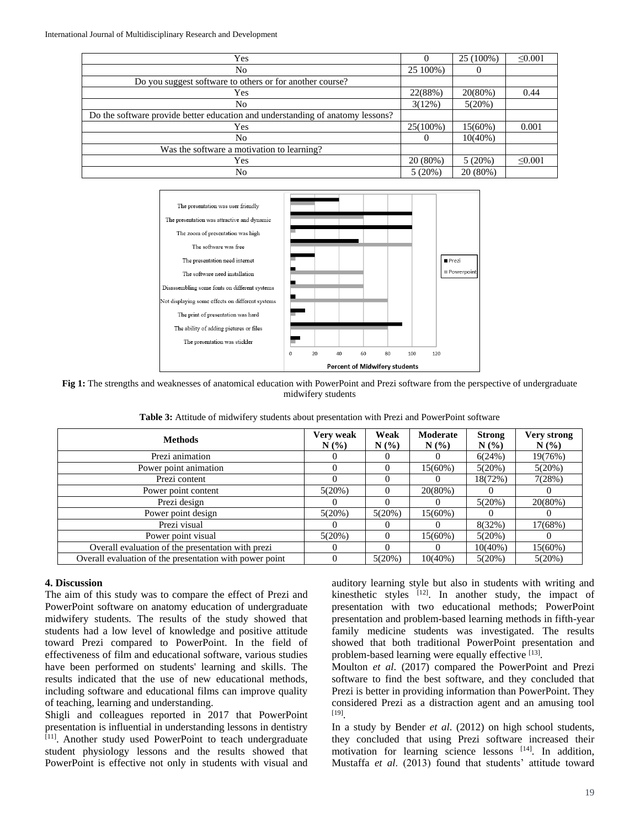International Journal of Multidisciplinary Research and Development

| Yes                                                                            |          | 25 (100%)  | $\leq 0.001$ |
|--------------------------------------------------------------------------------|----------|------------|--------------|
| No                                                                             | 25 100%) |            |              |
| Do you suggest software to others or for another course?                       |          |            |              |
| Yes                                                                            | 22(88%)  | 20(80%)    | 0.44         |
| No                                                                             | 3(12%)   | 5(20%)     |              |
| Do the software provide better education and understanding of anatomy lessons? |          |            |              |
| Yes                                                                            | 25(100%) | 15(60%)    | 0.001        |
| No                                                                             | $\Omega$ | $10(40\%)$ |              |
| Was the software a motivation to learning?                                     |          |            |              |
| Yes                                                                            | 20 (80%) | 5(20%)     | $\leq 0.001$ |
| No                                                                             | 5(20%)   | 20 (80%)   |              |



**Fig 1:** The strengths and weaknesses of anatomical education with PowerPoint and Prezi software from the perspective of undergraduate midwifery students

| <b>Methods</b>                                          | Very weak<br>N(%) | Weak<br>N(%) | Moderate<br>N(% | <b>Strong</b><br>$N(\%)$ | Very strong<br>N(%) |
|---------------------------------------------------------|-------------------|--------------|-----------------|--------------------------|---------------------|
| Prezi animation                                         |                   |              | $\theta$        | 6(24%)                   | 19(76%)             |
| Power point animation                                   |                   |              | $15(60\%)$      | 5(20%)                   | 5(20%)              |
| Prezi content                                           |                   |              | $\theta$        | 18(72%)                  | 7(28%)              |
| Power point content                                     | 5(20%)            |              | 20(80%)         |                          | $^{(1)}$            |
| Prezi design                                            |                   |              | 0               | 5(20%)                   | 20(80%)             |
| Power point design                                      | 5(20%)            | 5(20%)       | $15(60\%)$      |                          |                     |
| Prezi visual                                            |                   |              | $\theta$        | 8(32%)                   | 17(68%)             |
| Power point visual                                      | 5(20%)            |              | $15(60\%)$      | 5(20%)                   | 0                   |
| Overall evaluation of the presentation with prezi       |                   |              | 0               | $10(40\%)$               | 15(60%)             |
| Overall evaluation of the presentation with power point |                   | 5(20%)       | $10(40\%)$      | 5(20%)                   | 5(20%)              |

#### **4. Discussion**

The aim of this study was to compare the effect of Prezi and PowerPoint software on anatomy education of undergraduate midwifery students. The results of the study showed that students had a low level of knowledge and positive attitude toward Prezi compared to PowerPoint. In the field of effectiveness of film and educational software, various studies have been performed on students' learning and skills. The results indicated that the use of new educational methods, including software and educational films can improve quality of teaching, learning and understanding.

Shigli and colleagues reported in 2017 that PowerPoint presentation is influential in understanding lessons in dentistry [11]. Another study used PowerPoint to teach undergraduate student physiology lessons and the results showed that PowerPoint is effective not only in students with visual and

auditory learning style but also in students with writing and kinesthetic styles [12]. In another study, the impact of presentation with two educational methods; PowerPoint presentation and problem-based learning methods in fifth-year family medicine students was investigated. The results showed that both traditional PowerPoint presentation and problem-based learning were equally effective [13].

Moulton *et al*. (2017) compared the PowerPoint and Prezi software to find the best software, and they concluded that Prezi is better in providing information than PowerPoint. They considered Prezi as a distraction agent and an amusing tool [19] .

In a study by Bender *et al*. (2012) on high school students, they concluded that using Prezi software increased their motivation for learning science lessons [14]. In addition, Mustaffa *et al*. (2013) found that students' attitude toward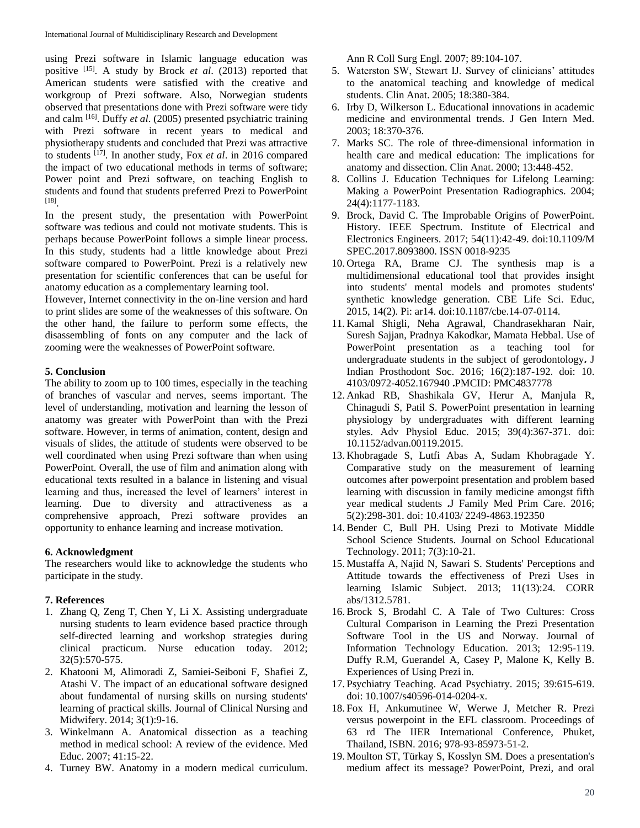using Prezi software in Islamic language education was positive [15]. A study by Brock *et al*. (2013) reported that American students were satisfied with the creative and workgroup of Prezi software. Also, Norwegian students observed that presentations done with Prezi software were tidy and calm [16]. Duffy *et al*. (2005) presented psychiatric training with Prezi software in recent years to medical and physiotherapy students and concluded that Prezi was attractive to students [17]. In another study, Fox *et al*. in 2016 compared the impact of two educational methods in terms of software; Power point and Prezi software, on teaching English to students and found that students preferred Prezi to PowerPoint [18] .

In the present study, the presentation with PowerPoint software was tedious and could not motivate students. This is perhaps because PowerPoint follows a simple linear process. In this study, students had a little knowledge about Prezi software compared to PowerPoint. Prezi is a relatively new presentation for scientific conferences that can be useful for anatomy education as a complementary learning tool.

However, Internet connectivity in the on-line version and hard to print slides are some of the weaknesses of this software. On the other hand, the failure to perform some effects, the disassembling of fonts on any computer and the lack of zooming were the weaknesses of PowerPoint software.

# **5. Conclusion**

The ability to zoom up to 100 times, especially in the teaching of branches of vascular and nerves, seems important. The level of understanding, motivation and learning the lesson of anatomy was greater with PowerPoint than with the Prezi software. However, in terms of animation, content, design and visuals of slides, the attitude of students were observed to be well coordinated when using Prezi software than when using PowerPoint. Overall, the use of film and animation along with educational texts resulted in a balance in listening and visual learning and thus, increased the level of learners' interest in learning. Due to diversity and attractiveness as a comprehensive approach, Prezi software provides an opportunity to enhance learning and increase motivation.

## **6. Acknowledgment**

The researchers would like to acknowledge the students who participate in the study.

## **7. References**

- 1. Zhang Q, Zeng T, Chen Y, Li X. Assisting undergraduate nursing students to learn evidence based practice through self-directed learning and workshop strategies during clinical practicum. Nurse education today. 2012; 32(5):570-575.
- 2. Khatooni M, Alimoradi Z, Samiei-Seiboni F, Shafiei Z, Atashi V. The impact of an educational software designed about fundamental of nursing skills on nursing students' learning of practical skills. Journal of Clinical Nursing and Midwifery. 2014; 3(1):9-16.
- 3. Winkelmann A. Anatomical dissection as a teaching method in medical school: A review of the evidence. Med Educ. 2007; 41:15-22.
- 4. Turney BW. Anatomy in a modern medical curriculum.

Ann R Coll Surg Engl. 2007; 89:104-107.

- 5. Waterston SW, Stewart IJ. Survey of clinicians' attitudes to the anatomical teaching and knowledge of medical students. Clin Anat. 2005; 18:380-384.
- 6. Irby D, Wilkerson L. Educational innovations in academic medicine and environmental trends. J Gen Intern Med. 2003; 18:370-376.
- 7. Marks SC. The role of three-dimensional information in health care and medical education: The implications for anatomy and dissection. Clin Anat. 2000; 13:448-452.
- 8. Collins J. Education Techniques for Lifelong Learning: Making a PowerPoint Presentation Radiographics. 2004; 24(4):1177-1183.
- 9. Brock, David C. The Improbable Origins of PowerPoint. History. IEEE Spectrum. Institute of Electrical and Electronics Engineers. 2017; 54(11):42-49. doi:10.1109/M SPEC.2017.8093800. ISSN 0018-9235
- 10. Ortega RA, Brame CJ. The synthesis map is a multidimensional educational tool that provides insight into students' mental models and promotes students' synthetic knowledge generation. CBE Life Sci. Educ, 2015, 14(2). Pi: ar14. doi:10.1187/cbe.14-07-0114.
- 11. Kamal Shigli, Neha Agrawal, Chandrasekharan Nair, Suresh Sajjan, Pradnya Kakodkar, Mamata Hebbal. Use of PowerPoint presentation as a teaching tool for undergraduate students in the subject of gerodontology**.** J Indian Prosthodont Soc. 2016; 16(2):187-192. doi: 10. 4103/0972-4052.167940 **.**PMCID: PMC4837778
- 12. Ankad RB, Shashikala GV, Herur A, Manjula R, Chinagudi S, Patil S. PowerPoint presentation in learning physiology by undergraduates with different learning styles. Adv Physiol Educ. 2015; 39(4):367-371. doi: 10.1152/advan.00119.2015.
- 13. Khobragade S, Lutfi Abas A, Sudam Khobragade Y. Comparative study on the measurement of learning outcomes after powerpoint presentation and problem based learning with discussion in family medicine amongst fifth year medical students **.**J Family Med Prim Care. 2016; 5(2):298-301. doi: 10.4103/ 2249-4863.192350
- 14. Bender C, Bull PH. Using Prezi to Motivate Middle School Science Students. Journal on School Educational Technology. 2011; 7(3):10-21.
- 15. Mustaffa A, Najid N, Sawari S. Students' Perceptions and Attitude towards the effectiveness of Prezi Uses in learning Islamic Subject. 2013; 11(13):24. CORR abs/1312.5781.
- 16. Brock S, Brodahl C. A Tale of Two Cultures: Cross Cultural Comparison in Learning the Prezi Presentation Software Tool in the US and Norway. Journal of Information Technology Education. 2013; 12:95-119. Duffy R.M, Guerandel A, Casey P, Malone K, Kelly B. Experiences of Using Prezi in.
- 17. Psychiatry Teaching. Acad Psychiatry. 2015; 39:615-619. doi: 10.1007/s40596-014-0204-x.
- 18. Fox H, Ankumutinee W, Werwe J, Metcher R. Prezi versus powerpoint in the EFL classroom. Proceedings of 63 rd The IIER International Conference, Phuket, Thailand, ISBN. 2016; 978-93-85973-51-2.
- 19. Moulton ST, Türkay S, Kosslyn SM. Does a presentation's medium affect its message? PowerPoint, Prezi, and oral